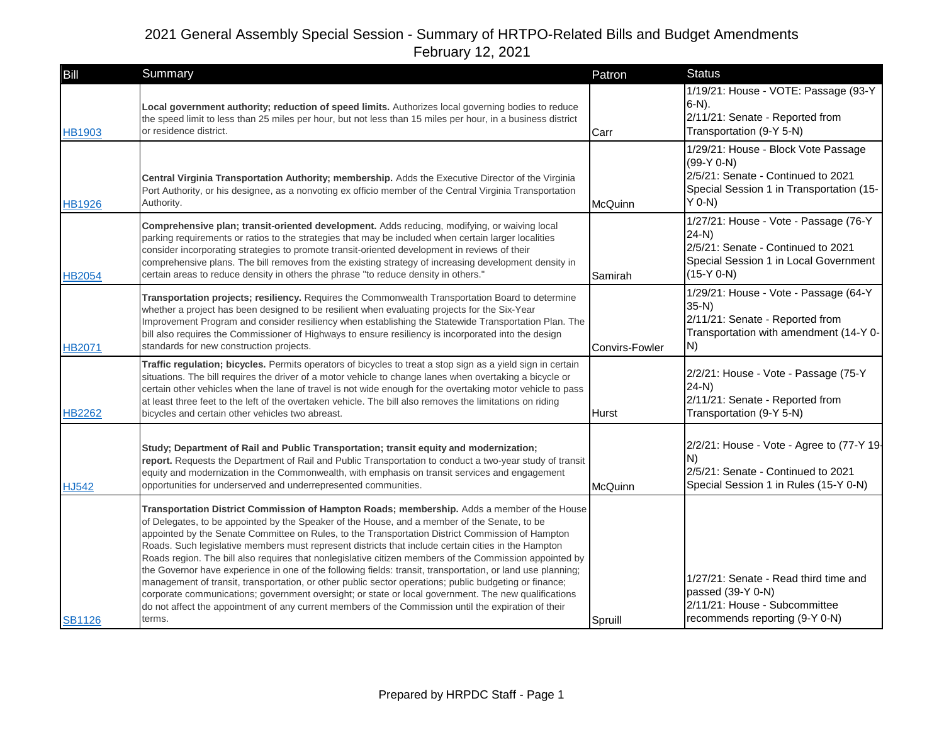| Bill          | Summary                                                                                                                                                                                                                                                                                                                                                                                                                                                                                                                                                                                                                                                                                                                                                                                                                                                                                                                                                              | Patron                | <b>Status</b>                                                                                                                                     |
|---------------|----------------------------------------------------------------------------------------------------------------------------------------------------------------------------------------------------------------------------------------------------------------------------------------------------------------------------------------------------------------------------------------------------------------------------------------------------------------------------------------------------------------------------------------------------------------------------------------------------------------------------------------------------------------------------------------------------------------------------------------------------------------------------------------------------------------------------------------------------------------------------------------------------------------------------------------------------------------------|-----------------------|---------------------------------------------------------------------------------------------------------------------------------------------------|
| <b>HB1903</b> | Local government authority; reduction of speed limits. Authorizes local governing bodies to reduce<br>the speed limit to less than 25 miles per hour, but not less than 15 miles per hour, in a business district<br>or residence district.                                                                                                                                                                                                                                                                                                                                                                                                                                                                                                                                                                                                                                                                                                                          | Carr                  | 1/19/21: House - VOTE: Passage (93-Y<br>$6-N$ ).<br>2/11/21: Senate - Reported from<br>Transportation (9-Y 5-N)                                   |
| <b>HB1926</b> | Central Virginia Transportation Authority; membership. Adds the Executive Director of the Virginia<br>Port Authority, or his designee, as a nonvoting ex officio member of the Central Virginia Transportation<br>Authority.                                                                                                                                                                                                                                                                                                                                                                                                                                                                                                                                                                                                                                                                                                                                         | McQuinn               | 1/29/21: House - Block Vote Passage<br>$(99-Y 0-N)$<br>2/5/21: Senate - Continued to 2021<br>Special Session 1 in Transportation (15-<br>$Y$ 0-N) |
| <b>HB2054</b> | Comprehensive plan; transit-oriented development. Adds reducing, modifying, or waiving local<br>parking requirements or ratios to the strategies that may be included when certain larger localities<br>consider incorporating strategies to promote transit-oriented development in reviews of their<br>comprehensive plans. The bill removes from the existing strategy of increasing development density in<br>certain areas to reduce density in others the phrase "to reduce density in others."                                                                                                                                                                                                                                                                                                                                                                                                                                                                | Samirah               | 1/27/21: House - Vote - Passage (76-Y<br>$24-N$<br>2/5/21: Senate - Continued to 2021<br>Special Session 1 in Local Government<br>$(15-Y 0-N)$    |
| <b>HB2071</b> | <b>Transportation projects; resiliency.</b> Requires the Commonwealth Transportation Board to determine<br>whether a project has been designed to be resilient when evaluating projects for the Six-Year<br>Improvement Program and consider resiliency when establishing the Statewide Transportation Plan. The<br>bill also requires the Commissioner of Highways to ensure resiliency is incorporated into the design<br>standards for new construction projects.                                                                                                                                                                                                                                                                                                                                                                                                                                                                                                 | <b>Convirs-Fowler</b> | 1/29/21: House - Vote - Passage (64-Y<br>$35-N$<br>2/11/21: Senate - Reported from<br>Transportation with amendment (14-Y 0-<br>N)                |
| <b>HB2262</b> | Traffic regulation; bicycles. Permits operators of bicycles to treat a stop sign as a yield sign in certain<br>situations. The bill requires the driver of a motor vehicle to change lanes when overtaking a bicycle or<br>certain other vehicles when the lane of travel is not wide enough for the overtaking motor vehicle to pass<br>at least three feet to the left of the overtaken vehicle. The bill also removes the limitations on riding<br>bicycles and certain other vehicles two abreast.                                                                                                                                                                                                                                                                                                                                                                                                                                                               | <b>Hurst</b>          | 2/2/21: House - Vote - Passage (75-Y<br>$24-N$<br>2/11/21: Senate - Reported from<br>Transportation (9-Y 5-N)                                     |
| <b>HJ542</b>  | Study; Department of Rail and Public Transportation; transit equity and modernization;<br>report. Requests the Department of Rail and Public Transportation to conduct a two-year study of transit<br>equity and modernization in the Commonwealth, with emphasis on transit services and engagement<br>opportunities for underserved and underrepresented communities.                                                                                                                                                                                                                                                                                                                                                                                                                                                                                                                                                                                              | McQuinn               | 2/2/21: House - Vote - Agree to (77-Y 19-<br>N)<br>2/5/21: Senate - Continued to 2021<br>Special Session 1 in Rules (15-Y 0-N)                    |
| <b>SB1126</b> | Transportation District Commission of Hampton Roads; membership. Adds a member of the House<br>of Delegates, to be appointed by the Speaker of the House, and a member of the Senate, to be<br>appointed by the Senate Committee on Rules, to the Transportation District Commission of Hampton<br>Roads. Such legislative members must represent districts that include certain cities in the Hampton<br>Roads region. The bill also requires that nonlegislative citizen members of the Commission appointed by<br>the Governor have experience in one of the following fields: transit, transportation, or land use planning;<br>management of transit, transportation, or other public sector operations; public budgeting or finance;<br>corporate communications; government oversight; or state or local government. The new qualifications<br>do not affect the appointment of any current members of the Commission until the expiration of their<br>terms. | Spruill               | 1/27/21: Senate - Read third time and<br>passed (39-Y 0-N)<br>2/11/21: House - Subcommittee<br>recommends reporting (9-Y 0-N)                     |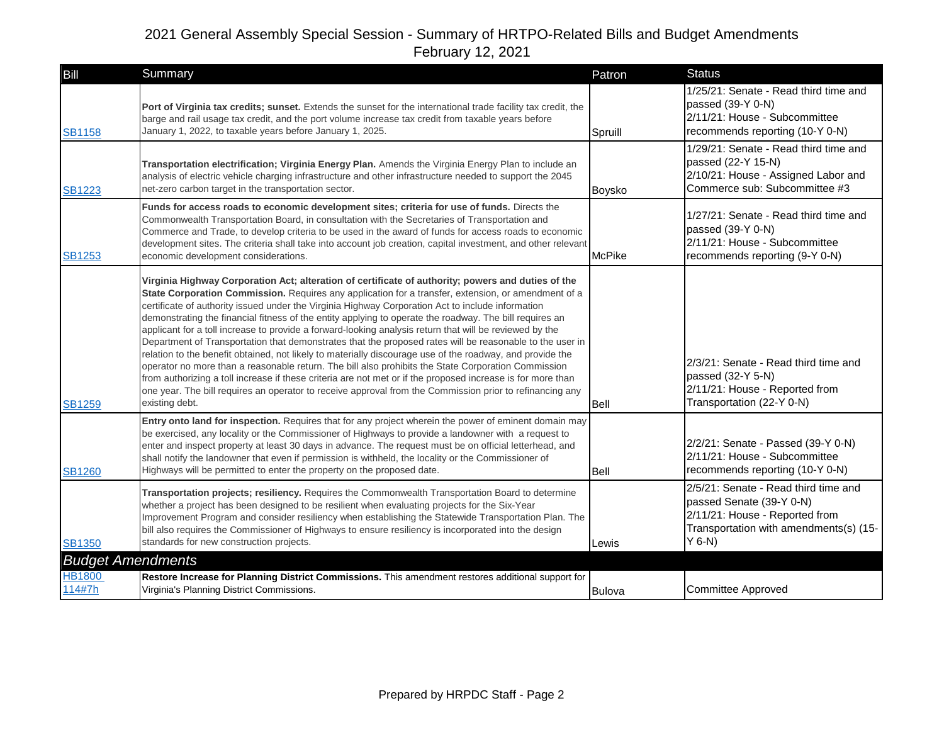| Bill                     | <b>Summary</b>                                                                                                                                                                                                                                                                                                                                                                                                                                                                                                                                                                                                                                                                                                                                                                                                                                                                                                                                                                                                                                                                                                    | Patron        | <b>Status</b>                                                                                                                                            |
|--------------------------|-------------------------------------------------------------------------------------------------------------------------------------------------------------------------------------------------------------------------------------------------------------------------------------------------------------------------------------------------------------------------------------------------------------------------------------------------------------------------------------------------------------------------------------------------------------------------------------------------------------------------------------------------------------------------------------------------------------------------------------------------------------------------------------------------------------------------------------------------------------------------------------------------------------------------------------------------------------------------------------------------------------------------------------------------------------------------------------------------------------------|---------------|----------------------------------------------------------------------------------------------------------------------------------------------------------|
| <b>SB1158</b>            | Port of Virginia tax credits; sunset. Extends the sunset for the international trade facility tax credit, the<br>barge and rail usage tax credit, and the port volume increase tax credit from taxable years before<br>January 1, 2022, to taxable years before January 1, 2025.                                                                                                                                                                                                                                                                                                                                                                                                                                                                                                                                                                                                                                                                                                                                                                                                                                  | Spruill       | 1/25/21: Senate - Read third time and<br>passed $(39-Y 0-N)$<br>2/11/21: House - Subcommittee<br>recommends reporting (10-Y 0-N)                         |
| <b>SB1223</b>            | Transportation electrification; Virginia Energy Plan. Amends the Virginia Energy Plan to include an<br>analysis of electric vehicle charging infrastructure and other infrastructure needed to support the 2045<br>net-zero carbon target in the transportation sector.                                                                                                                                                                                                                                                                                                                                                                                                                                                                                                                                                                                                                                                                                                                                                                                                                                           | Boysko        | 1/29/21: Senate - Read third time and<br>passed (22-Y 15-N)<br>2/10/21: House - Assigned Labor and<br>Commerce sub: Subcommittee #3                      |
| <b>SB1253</b>            | Funds for access roads to economic development sites; criteria for use of funds. Directs the<br>Commonwealth Transportation Board, in consultation with the Secretaries of Transportation and<br>Commerce and Trade, to develop criteria to be used in the award of funds for access roads to economic<br>development sites. The criteria shall take into account job creation, capital investment, and other relevant<br>economic development considerations.                                                                                                                                                                                                                                                                                                                                                                                                                                                                                                                                                                                                                                                    | <b>McPike</b> | 1/27/21: Senate - Read third time and<br>passed (39-Y 0-N)<br>2/11/21: House - Subcommittee<br>recommends reporting (9-Y 0-N)                            |
| <b>SB1259</b>            | Virginia Highway Corporation Act; alteration of certificate of authority; powers and duties of the<br>State Corporation Commission. Requires any application for a transfer, extension, or amendment of a<br>certificate of authority issued under the Virginia Highway Corporation Act to include information<br>demonstrating the financial fitness of the entity applying to operate the roadway. The bill requires an<br>applicant for a toll increase to provide a forward-looking analysis return that will be reviewed by the<br>Department of Transportation that demonstrates that the proposed rates will be reasonable to the user in<br>relation to the benefit obtained, not likely to materially discourage use of the roadway, and provide the<br>operator no more than a reasonable return. The bill also prohibits the State Corporation Commission<br>from authorizing a toll increase if these criteria are not met or if the proposed increase is for more than<br>one year. The bill requires an operator to receive approval from the Commission prior to refinancing any<br>existing debt. | Bell          | 2/3/21: Senate - Read third time and<br>passed (32-Y 5-N)<br>2/11/21: House - Reported from<br>Transportation (22-Y 0-N)                                 |
| <b>SB1260</b>            | Entry onto land for inspection. Requires that for any project wherein the power of eminent domain may<br>be exercised, any locality or the Commissioner of Highways to provide a landowner with a request to<br>enter and inspect property at least 30 days in advance. The request must be on official letterhead, and<br>shall notify the landowner that even if permission is withheld, the locality or the Commissioner of<br>Highways will be permitted to enter the property on the proposed date.                                                                                                                                                                                                                                                                                                                                                                                                                                                                                                                                                                                                          | Bell          | 2/2/21: Senate - Passed (39-Y 0-N)<br>2/11/21: House - Subcommittee<br>recommends reporting (10-Y 0-N)                                                   |
| <b>SB1350</b>            | Transportation projects; resiliency. Requires the Commonwealth Transportation Board to determine<br>whether a project has been designed to be resilient when evaluating projects for the Six-Year<br>Improvement Program and consider resiliency when establishing the Statewide Transportation Plan. The<br>bill also requires the Commissioner of Highways to ensure resiliency is incorporated into the design<br>standards for new construction projects.                                                                                                                                                                                                                                                                                                                                                                                                                                                                                                                                                                                                                                                     | Lewis         | 2/5/21: Senate - Read third time and<br>passed Senate (39-Y 0-N)<br>2/11/21: House - Reported from<br>Transportation with amendments(s) (15-<br>$Y$ 6-N) |
| <b>Budget Amendments</b> |                                                                                                                                                                                                                                                                                                                                                                                                                                                                                                                                                                                                                                                                                                                                                                                                                                                                                                                                                                                                                                                                                                                   |               |                                                                                                                                                          |
| <b>HB1800</b><br>114#7h  | Restore Increase for Planning District Commissions. This amendment restores additional support for<br>Virginia's Planning District Commissions.                                                                                                                                                                                                                                                                                                                                                                                                                                                                                                                                                                                                                                                                                                                                                                                                                                                                                                                                                                   | Bulova        | <b>Committee Approved</b>                                                                                                                                |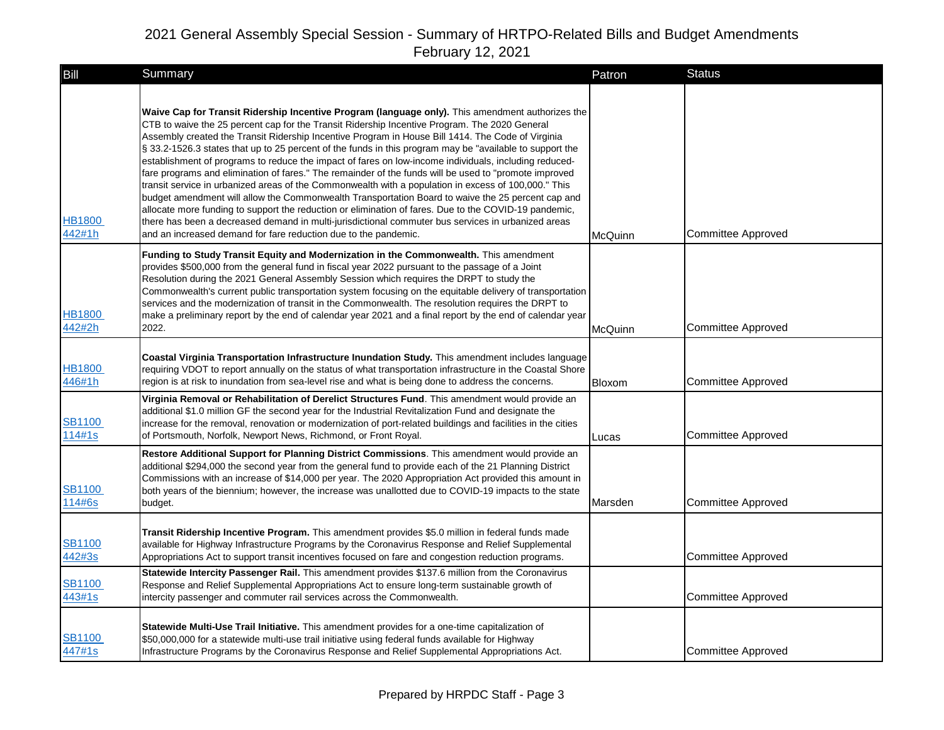| Bill                    | Summary                                                                                                                                                                                                                                                                                                                                                                                                                                                                                                                                                                                                                                                                                                                                                                                                                                                                                                                                                                                                                                                                                                                             | Patron  | <b>Status</b>             |
|-------------------------|-------------------------------------------------------------------------------------------------------------------------------------------------------------------------------------------------------------------------------------------------------------------------------------------------------------------------------------------------------------------------------------------------------------------------------------------------------------------------------------------------------------------------------------------------------------------------------------------------------------------------------------------------------------------------------------------------------------------------------------------------------------------------------------------------------------------------------------------------------------------------------------------------------------------------------------------------------------------------------------------------------------------------------------------------------------------------------------------------------------------------------------|---------|---------------------------|
| <b>HB1800</b><br>442#1h | Waive Cap for Transit Ridership Incentive Program (language only). This amendment authorizes the<br>CTB to waive the 25 percent cap for the Transit Ridership Incentive Program. The 2020 General<br>Assembly created the Transit Ridership Incentive Program in House Bill 1414. The Code of Virginia<br>§ 33.2-1526.3 states that up to 25 percent of the funds in this program may be "available to support the<br>establishment of programs to reduce the impact of fares on low-income individuals, including reduced-<br>fare programs and elimination of fares." The remainder of the funds will be used to "promote improved<br>transit service in urbanized areas of the Commonwealth with a population in excess of 100,000." This<br>budget amendment will allow the Commonwealth Transportation Board to waive the 25 percent cap and<br>allocate more funding to support the reduction or elimination of fares. Due to the COVID-19 pandemic,<br>there has been a decreased demand in multi-jurisdictional commuter bus services in urbanized areas<br>and an increased demand for fare reduction due to the pandemic. | McQuinn | Committee Approved        |
| <b>HB1800</b><br>442#2h | Funding to Study Transit Equity and Modernization in the Commonwealth. This amendment<br>provides \$500,000 from the general fund in fiscal year 2022 pursuant to the passage of a Joint<br>Resolution during the 2021 General Assembly Session which requires the DRPT to study the<br>Commonwealth's current public transportation system focusing on the equitable delivery of transportation<br>services and the modernization of transit in the Commonwealth. The resolution requires the DRPT to<br>make a preliminary report by the end of calendar year 2021 and a final report by the end of calendar year<br>2022.                                                                                                                                                                                                                                                                                                                                                                                                                                                                                                        | McQuinn | <b>Committee Approved</b> |
| <b>HB1800</b><br>446#1h | Coastal Virginia Transportation Infrastructure Inundation Study. This amendment includes language<br>requiring VDOT to report annually on the status of what transportation infrastructure in the Coastal Shore<br>region is at risk to inundation from sea-level rise and what is being done to address the concerns.                                                                                                                                                                                                                                                                                                                                                                                                                                                                                                                                                                                                                                                                                                                                                                                                              | Bloxom  | Committee Approved        |
| <b>SB1100</b><br>114#1s | Virginia Removal or Rehabilitation of Derelict Structures Fund. This amendment would provide an<br>additional \$1.0 million GF the second year for the Industrial Revitalization Fund and designate the<br>increase for the removal, renovation or modernization of port-related buildings and facilities in the cities<br>of Portsmouth, Norfolk, Newport News, Richmond, or Front Royal.                                                                                                                                                                                                                                                                                                                                                                                                                                                                                                                                                                                                                                                                                                                                          | Lucas   | <b>Committee Approved</b> |
| <b>SB1100</b><br>114#6s | Restore Additional Support for Planning District Commissions. This amendment would provide an<br>additional \$294,000 the second year from the general fund to provide each of the 21 Planning District<br>Commissions with an increase of \$14,000 per year. The 2020 Appropriation Act provided this amount in<br>both years of the biennium; however, the increase was unallotted due to COVID-19 impacts to the state<br>budget.                                                                                                                                                                                                                                                                                                                                                                                                                                                                                                                                                                                                                                                                                                | Marsden | <b>Committee Approved</b> |
| <b>SB1100</b><br>442#3s | Transit Ridership Incentive Program. This amendment provides \$5.0 million in federal funds made<br>available for Highway Infrastructure Programs by the Coronavirus Response and Relief Supplemental<br>Appropriations Act to support transit incentives focused on fare and congestion reduction programs.                                                                                                                                                                                                                                                                                                                                                                                                                                                                                                                                                                                                                                                                                                                                                                                                                        |         | <b>Committee Approved</b> |
| <b>SB1100</b><br>443#1s | Statewide Intercity Passenger Rail. This amendment provides \$137.6 million from the Coronavirus<br>Response and Relief Supplemental Appropriations Act to ensure long-term sustainable growth of<br>intercity passenger and commuter rail services across the Commonwealth.                                                                                                                                                                                                                                                                                                                                                                                                                                                                                                                                                                                                                                                                                                                                                                                                                                                        |         | Committee Approved        |
| <b>SB1100</b><br>447#1s | Statewide Multi-Use Trail Initiative. This amendment provides for a one-time capitalization of<br>\$50,000,000 for a statewide multi-use trail initiative using federal funds available for Highway<br>Infrastructure Programs by the Coronavirus Response and Relief Supplemental Appropriations Act.                                                                                                                                                                                                                                                                                                                                                                                                                                                                                                                                                                                                                                                                                                                                                                                                                              |         | <b>Committee Approved</b> |